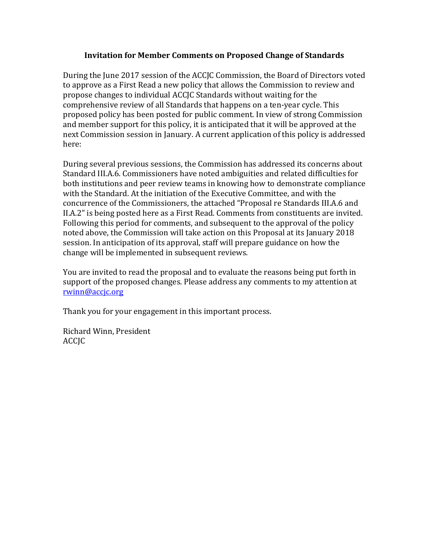## **Invitation for Member Comments on Proposed Change of Standards**

During the June 2017 session of the ACCJC Commission, the Board of Directors voted to approve as a First Read a new policy that allows the Commission to review and propose changes to individual ACCJC Standards without waiting for the comprehensive review of all Standards that happens on a ten-year cycle. This proposed policy has been posted for public comment. In view of strong Commission and member support for this policy, it is anticipated that it will be approved at the next Commission session in January. A current application of this policy is addressed here:

During several previous sessions, the Commission has addressed its concerns about Standard III.A.6. Commissioners have noted ambiguities and related difficulties for both institutions and peer review teams in knowing how to demonstrate compliance with the Standard. At the initiation of the Executive Committee, and with the concurrence of the Commissioners, the attached "Proposal re Standards III.A.6 and II.A.2" is being posted here as a First Read. Comments from constituents are invited. Following this period for comments, and subsequent to the approval of the policy noted above, the Commission will take action on this Proposal at its January 2018 session. In anticipation of its approval, staff will prepare guidance on how the change will be implemented in subsequent reviews.

You are invited to read the proposal and to evaluate the reasons being put forth in support of the proposed changes. Please address any comments to my attention at [rwinn@accjc.org](mailto:rwinn@accjc.org)

Thank you for your engagement in this important process.

Richard Winn, President **ACCIC**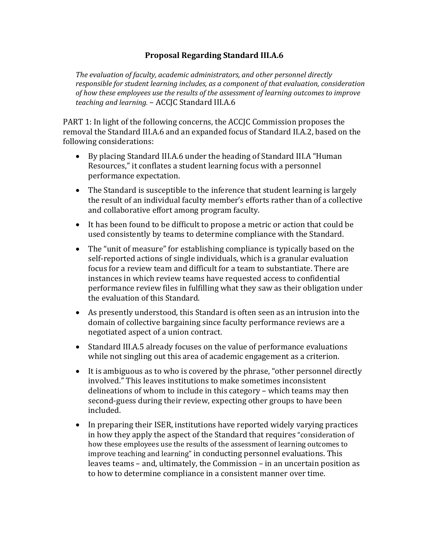## **Proposal Regarding Standard III.A.6**

*The evaluation of faculty, academic administrators, and other personnel directly responsible for student learning includes, as a component of that evaluation, consideration of how these employees use the results of the assessment of learning outcomes to improve teaching and learning.* – ACCJC Standard III.A.6

PART 1: In light of the following concerns, the ACCJC Commission proposes the removal the Standard III.A.6 and an expanded focus of Standard II.A.2, based on the following considerations:

- By placing Standard III.A.6 under the heading of Standard III.A "Human Resources," it conflates a student learning focus with a personnel performance expectation.
- The Standard is susceptible to the inference that student learning is largely the result of an individual faculty member's efforts rather than of a collective and collaborative effort among program faculty.
- It has been found to be difficult to propose a metric or action that could be used consistently by teams to determine compliance with the Standard.
- The "unit of measure" for establishing compliance is typically based on the self-reported actions of single individuals, which is a granular evaluation focus for a review team and difficult for a team to substantiate. There are instances in which review teams have requested access to confidential performance review files in fulfilling what they saw as their obligation under the evaluation of this Standard.
- As presently understood, this Standard is often seen as an intrusion into the domain of collective bargaining since faculty performance reviews are a negotiated aspect of a union contract.
- Standard III.A.5 already focuses on the value of performance evaluations while not singling out this area of academic engagement as a criterion.
- It is ambiguous as to who is covered by the phrase, "other personnel directly involved." This leaves institutions to make sometimes inconsistent delineations of whom to include in this category – which teams may then second-guess during their review, expecting other groups to have been included.
- In preparing their ISER, institutions have reported widely varying practices in how they apply the aspect of the Standard that requires "consideration of how these employees use the results of the assessment of learning outcomes to improve teaching and learning" in conducting personnel evaluations. This leaves teams – and, ultimately, the Commission – in an uncertain position as to how to determine compliance in a consistent manner over time.